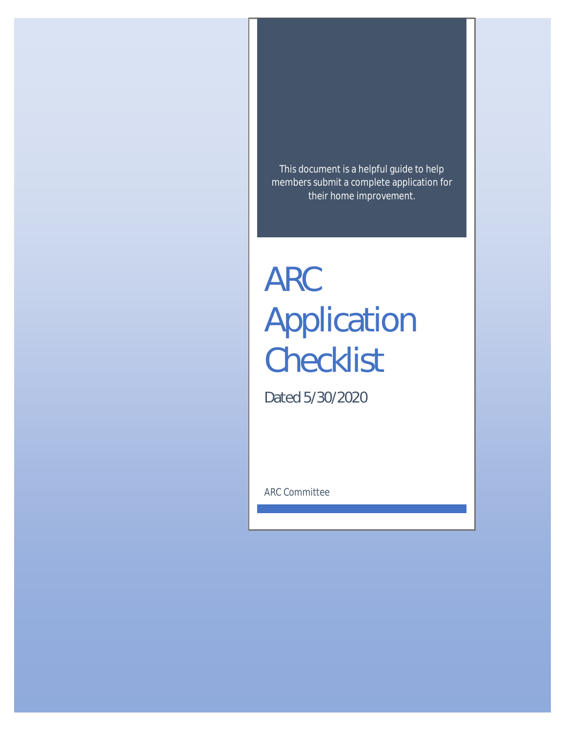This document is a helpful guide to help members submit a complete application for their home improvement.

# ARC Application **Checklist**

Dated 5/30/2020

ARC Committee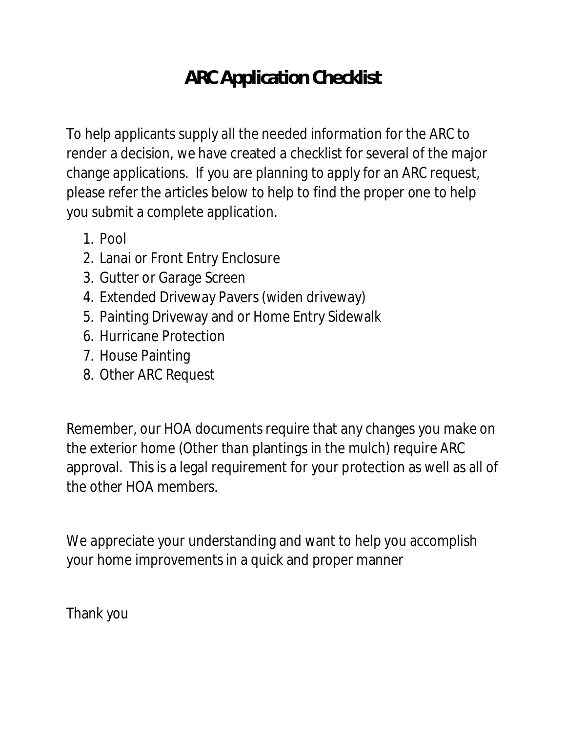## **ARC Application Checklist**

To help applicants supply all the needed information for the ARC to render a decision, we have created a checklist for several of the major change applications. If you are planning to apply for an ARC request, please refer the articles below to help to find the proper one to help you submit a complete application.

- 1. Pool
- 2. Lanai or Front Entry Enclosure
- 3. Gutter or Garage Screen
- 4. Extended Driveway Pavers (widen driveway)
- 5. Painting Driveway and or Home Entry Sidewalk
- 6. Hurricane Protection
- 7. House Painting
- 8. Other ARC Request

Remember, our HOA documents require that any changes you make on the exterior home (Other than plantings in the mulch) require ARC approval. This is a legal requirement for your protection as well as all of the other HOA members.

We appreciate your understanding and want to help you accomplish your home improvements in a quick and proper manner

Thank you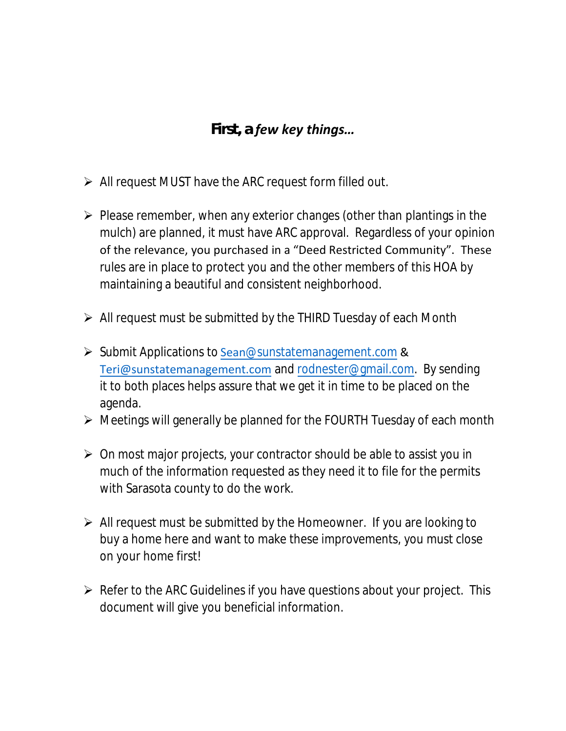#### *First, a few key things…*

- ➢ All request MUST have the ARC request form filled out.
- ➢ Please remember, when any exterior changes (other than plantings in the mulch) are planned, it must have ARC approval. Regardless of your opinion of the relevance, you purchased in a "Deed Restricted Community". These rules are in place to protect you and the other members of this HOA by maintaining a beautiful and consistent neighborhood.
- ➢ All request must be submitted by the THIRD Tuesday of each Month
- ➢ Submit Applications to Sean@sunstatemanagement.com & Teri@sunstatemanagement.com and rodnester@gmail.com. By sending it to both places helps assure that we get it in time to be placed on the agenda.
- ➢ Meetings will generally be planned for the FOURTH Tuesday of each month
- ➢ On most major projects, your contractor should be able to assist you in much of the information requested as they need it to file for the permits with Sarasota county to do the work.
- $\triangleright$  All request must be submitted by the Homeowner. If you are looking to buy a home here and want to make these improvements, you must close on your home first!
- ➢ Refer to the ARC Guidelines if you have questions about your project. This document will give you beneficial information.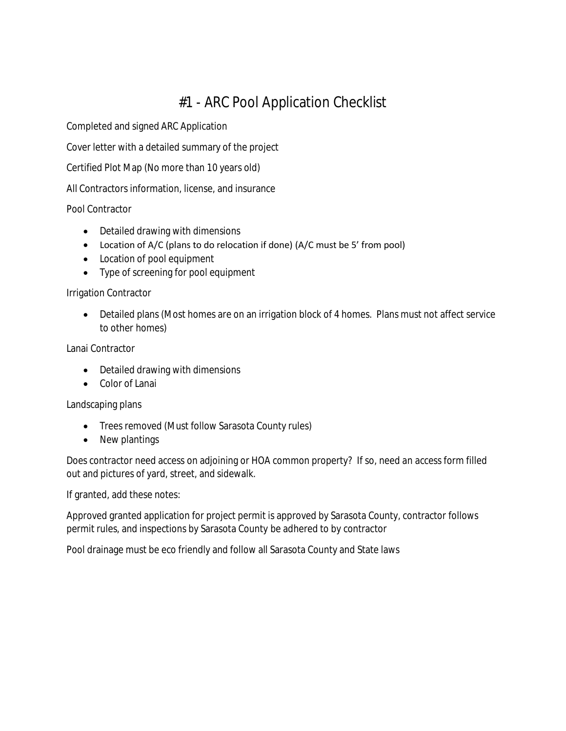### #1 - ARC Pool Application Checklist

Completed and signed ARC Application

Cover letter with a detailed summary of the project

Certified Plot Map (No more than 10 years old)

All Contractors information, license, and insurance

Pool Contractor

- Detailed drawing with dimensions
- Location of A/C (plans to do relocation if done) (A/C must be 5' from pool)
- Location of pool equipment
- Type of screening for pool equipment

Irrigation Contractor

• Detailed plans (Most homes are on an irrigation block of 4 homes. Plans must not affect service to other homes)

Lanai Contractor

- Detailed drawing with dimensions
- Color of Lanai

Landscaping plans

- Trees removed (Must follow Sarasota County rules)
- New plantings

Does contractor need access on adjoining or HOA common property? If so, need an access form filled out and pictures of yard, street, and sidewalk.

If granted, add these notes:

Approved granted application for project permit is approved by Sarasota County, contractor follows permit rules, and inspections by Sarasota County be adhered to by contractor

Pool drainage must be eco friendly and follow all Sarasota County and State laws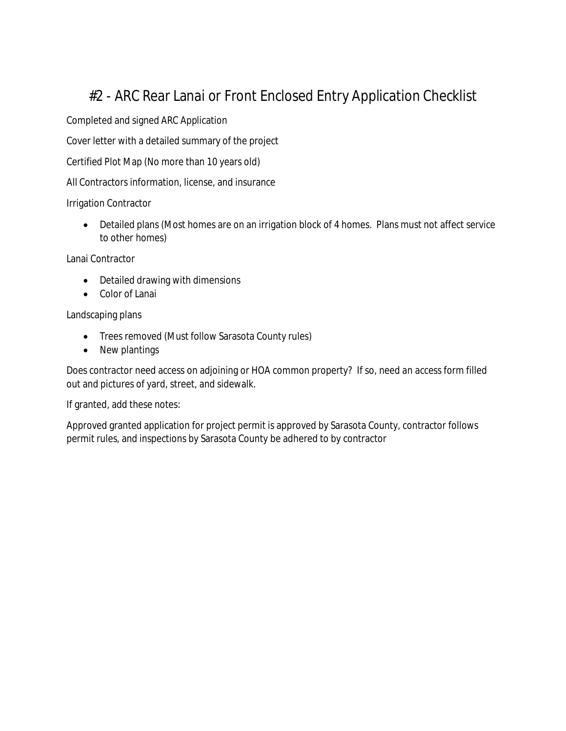#### #2 - ARC Rear Lanai or Front Enclosed Entry Application Checklist

Completed and signed ARC Application

Cover letter with a detailed summary of the project

Certified Plot Map (No more than 10 years old)

All Contractors information, license, and insurance

Irrigation Contractor

• Detailed plans (Most homes are on an irrigation block of 4 homes. Plans must not affect service to other homes)

Lanai Contractor

- Detailed drawing with dimensions
- Color of Lanai

Landscaping plans

- Trees removed (Must follow Sarasota County rules)
- New plantings

Does contractor need access on adjoining or HOA common property? If so, need an access form filled out and pictures of yard, street, and sidewalk.

If granted, add these notes:

Approved granted application for project permit is approved by Sarasota County, contractor follows permit rules, and inspections by Sarasota County be adhered to by contractor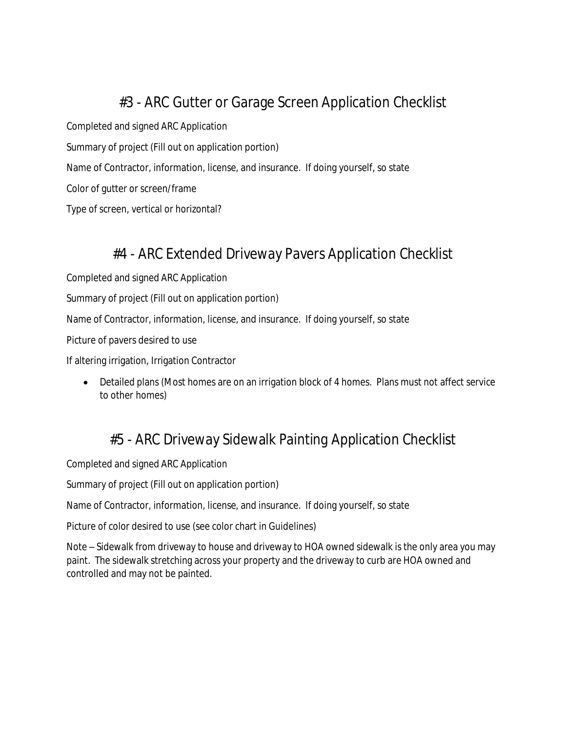#### #3 - ARC Gutter or Garage Screen Application Checklist

Completed and signed ARC Application

Summary of project (Fill out on application portion)

Name of Contractor, information, license, and insurance. If doing yourself, so state

Color of gutter or screen/frame

Type of screen, vertical or horizontal?

#### #4 - ARC Extended Driveway Pavers Application Checklist

Completed and signed ARC Application

Summary of project (Fill out on application portion)

Name of Contractor, information, license, and insurance. If doing yourself, so state

Picture of pavers desired to use

If altering irrigation, Irrigation Contractor

• Detailed plans (Most homes are on an irrigation block of 4 homes. Plans must not affect service to other homes)

#### #5 - ARC Driveway Sidewalk Painting Application Checklist

Completed and signed ARC Application

Summary of project (Fill out on application portion)

Name of Contractor, information, license, and insurance. If doing yourself, so state

Picture of color desired to use (see color chart in Guidelines)

Note – Sidewalk from driveway to house and driveway to HOA owned sidewalk is the only area you may paint. The sidewalk stretching across your property and the driveway to curb are HOA owned and controlled and may not be painted.